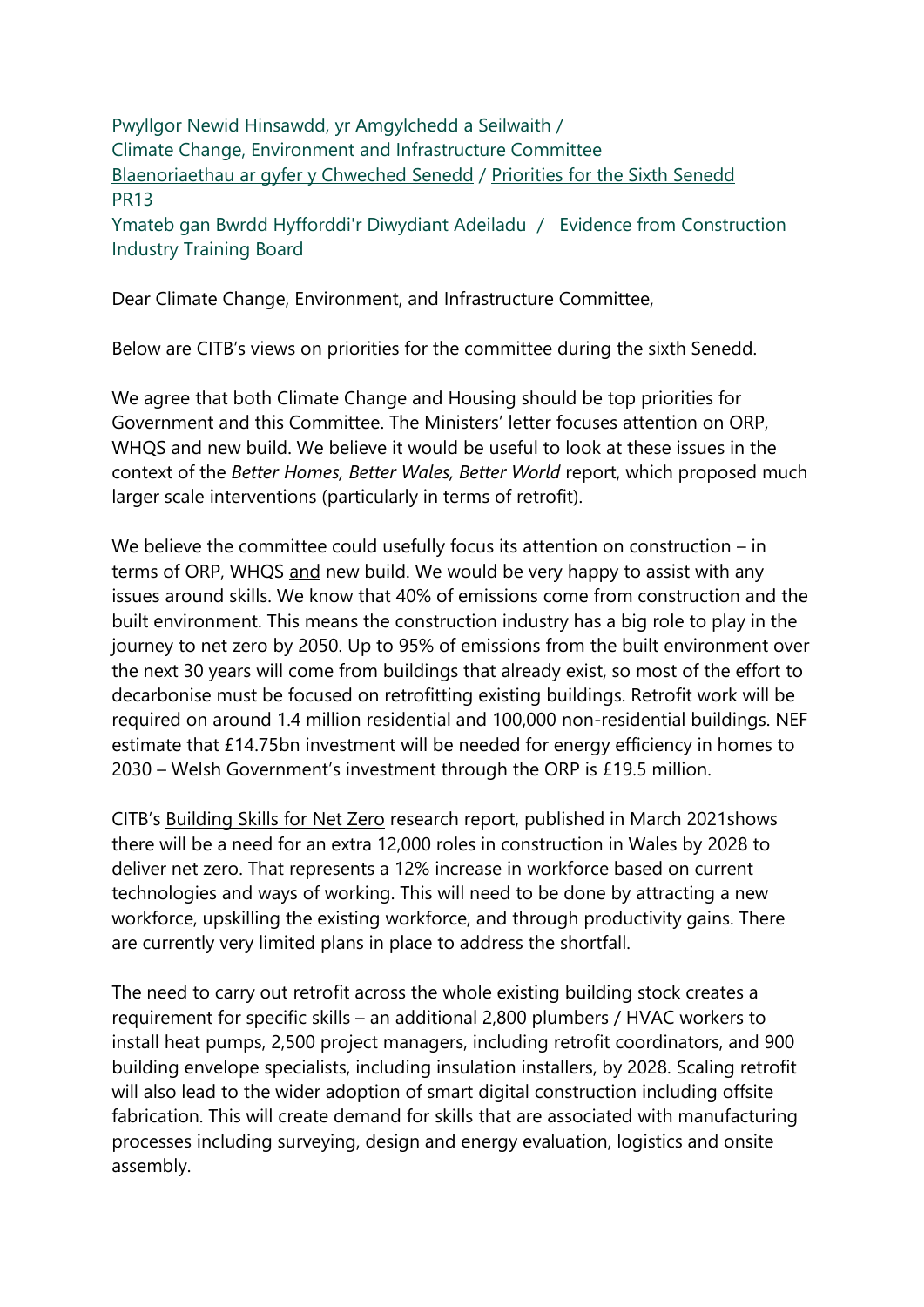Pwyllgor Newid Hinsawdd, yr Amgylchedd a Seilwaith / Climate Change, Environment and Infrastructure Committee [Blaenoriaethau ar gyfer y Chweched Senedd](https://busnes.senedd.cymru/mgConsultationDisplay.aspx?id=427&RPID=1026452002&cp=yes) / Priorities [for the Sixth Senedd](https://business.senedd.wales/mgConsultationDisplay.aspx?id=427&RPID=1026452002&cp=yes) PR13

Ymateb gan Bwrdd Hyfforddi'r Diwydiant Adeiladu / Evidence from Construction Industry Training Board

Dear Climate Change, Environment, and Infrastructure Committee,

Below are CITB's views on priorities for the committee during the sixth Senedd.

We agree that both Climate Change and Housing should be top priorities for Government and this Committee. The Ministers' letter focuses attention on ORP, WHQS and new build. We believe it would be useful to look at these issues in the context of the *Better Homes, Better Wales, Better World* report, which proposed much larger scale interventions (particularly in terms of retrofit).

We believe the committee could usefully focus its attention on construction – in terms of ORP, WHQS and new build. We would be very happy to assist with any issues around skills. We know that 40% of emissions come from construction and the built environment. This means the construction industry has a big role to play in the journey to net zero by 2050. Up to 95% of emissions from the built environment over the next 30 years will come from buildings that already exist, so most of the effort to decarbonise must be focused on retrofitting existing buildings. Retrofit work will be required on around 1.4 million residential and 100,000 non-residential buildings. NEF estimate that £14.75bn investment will be needed for energy efficiency in homes to 2030 – Welsh Government's investment through the ORP is £19.5 million.

CITB's [Building Skills for Net Zero](https://www.citb.co.uk/about-citb/construction-industry-research-reports/search-our-construction-industry-research-reports/building-skills-for-net-zero/) research report, published in March 2021shows there will be a need for an extra 12,000 roles in construction in Wales by 2028 to deliver net zero. That represents a 12% increase in workforce based on current technologies and ways of working. This will need to be done by attracting a new workforce, upskilling the existing workforce, and through productivity gains. There are currently very limited plans in place to address the shortfall.

The need to carry out retrofit across the whole existing building stock creates a requirement for specific skills – an additional 2,800 plumbers / HVAC workers to install heat pumps, 2,500 project managers, including retrofit coordinators, and 900 building envelope specialists, including insulation installers, by 2028. Scaling retrofit will also lead to the wider adoption of smart digital construction including offsite fabrication. This will create demand for skills that are associated with manufacturing processes including surveying, design and energy evaluation, logistics and onsite assembly.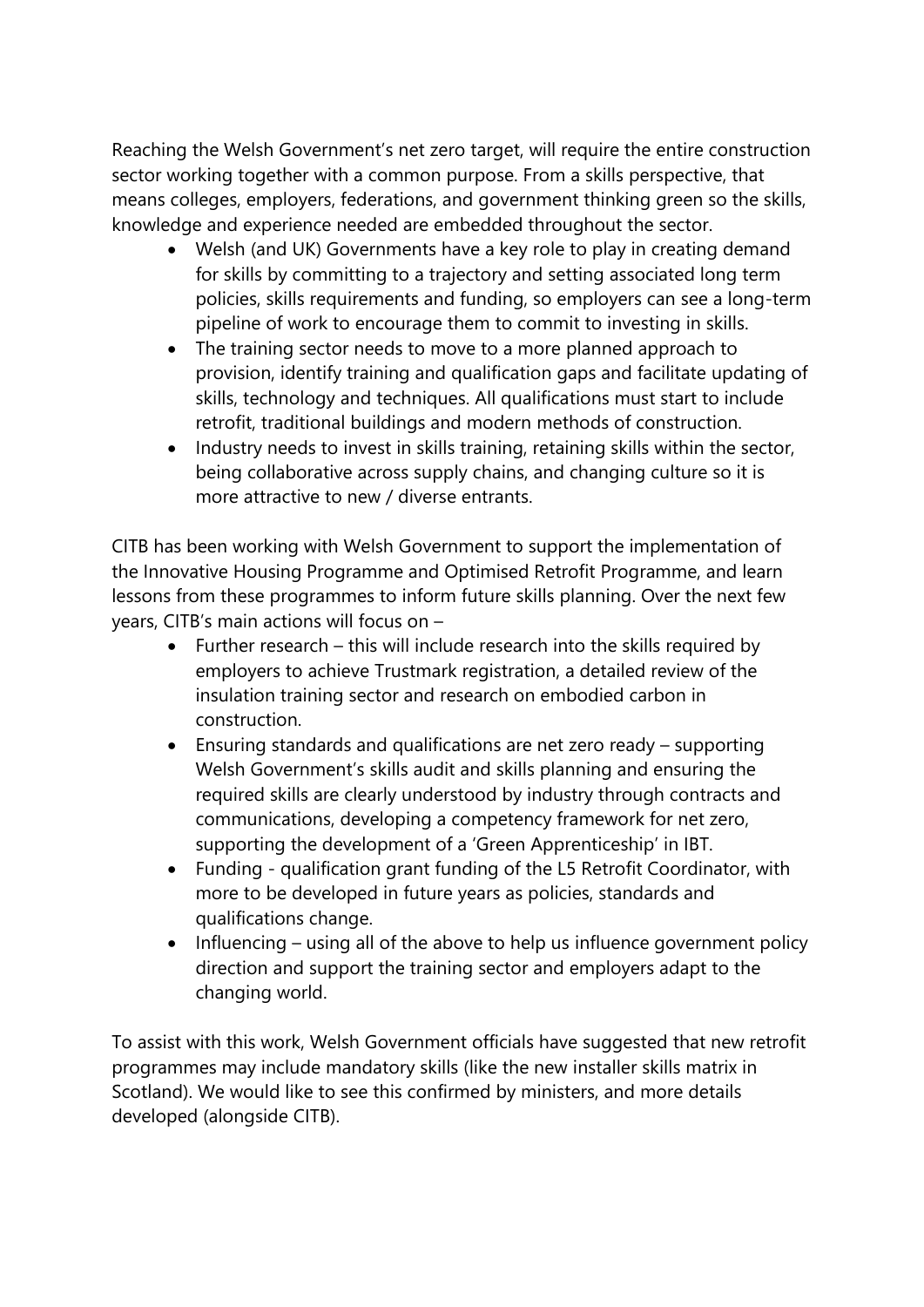Reaching the Welsh Government's net zero target, will require the entire construction sector working together with a common purpose. From a skills perspective, that means colleges, employers, federations, and government thinking green so the skills, knowledge and experience needed are embedded throughout the sector.

- Welsh (and UK) Governments have a key role to play in creating demand for skills by committing to a trajectory and setting associated long term policies, skills requirements and funding, so employers can see a long-term pipeline of work to encourage them to commit to investing in skills.
- The training sector needs to move to a more planned approach to provision, identify training and qualification gaps and facilitate updating of skills, technology and techniques. All qualifications must start to include retrofit, traditional buildings and modern methods of construction.
- Industry needs to invest in skills training, retaining skills within the sector, being collaborative across supply chains, and changing culture so it is more attractive to new / diverse entrants.

CITB has been working with Welsh Government to support the implementation of the Innovative Housing Programme and Optimised Retrofit Programme, and learn lessons from these programmes to inform future skills planning. Over the next few years, CITB's main actions will focus on –

- Further research this will include research into the skills required by employers to achieve Trustmark registration, a detailed review of the insulation training sector and research on embodied carbon in construction.
- Ensuring standards and qualifications are net zero ready supporting Welsh Government's skills audit and skills planning and ensuring the required skills are clearly understood by industry through contracts and communications, developing a competency framework for net zero, supporting the development of a 'Green Apprenticeship' in IBT.
- Funding qualification grant funding of the L5 Retrofit Coordinator, with more to be developed in future years as policies, standards and qualifications change.
- Influencing using all of the above to help us influence government policy direction and support the training sector and employers adapt to the changing world.

To assist with this work, Welsh Government officials have suggested that new retrofit programmes may include mandatory skills (like the new installer skills matrix in Scotland). We would like to see this confirmed by ministers, and more details developed (alongside CITB).